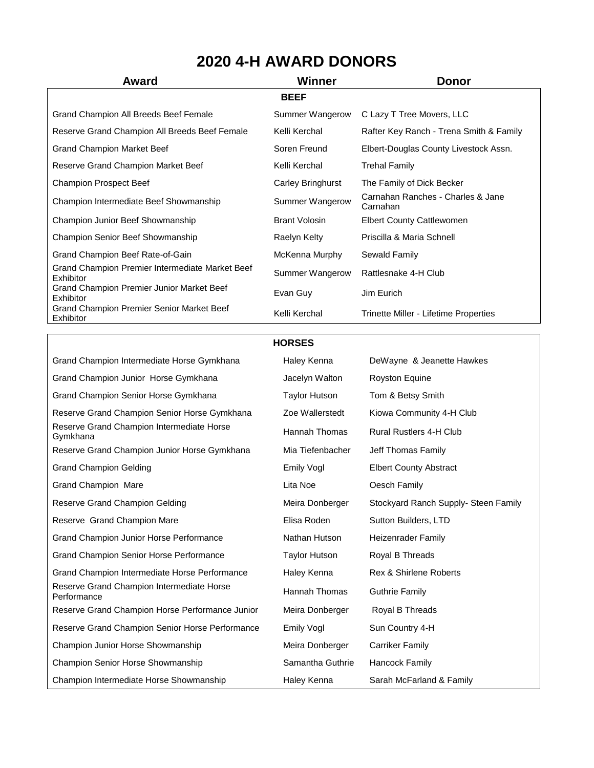## **2020 4-H AWARD DONORS**

| Award                                                        | Winner               | <b>Donor</b>                                  |
|--------------------------------------------------------------|----------------------|-----------------------------------------------|
|                                                              | <b>BEEF</b>          |                                               |
| Grand Champion All Breeds Beef Female                        | Summer Wangerow      | C Lazy T Tree Movers, LLC                     |
| Reserve Grand Champion All Breeds Beef Female                | Kelli Kerchal        | Rafter Key Ranch - Trena Smith & Family       |
| Grand Champion Market Beef                                   | Soren Freund         | Elbert-Douglas County Livestock Assn.         |
| Reserve Grand Champion Market Beef                           | Kelli Kerchal        | Trehal Family                                 |
| <b>Champion Prospect Beef</b>                                | Carley Bringhurst    | The Family of Dick Becker                     |
| Champion Intermediate Beef Showmanship                       | Summer Wangerow      | Carnahan Ranches - Charles & Jane<br>Carnahan |
| Champion Junior Beef Showmanship                             | <b>Brant Volosin</b> | <b>Elbert County Cattlewomen</b>              |
| <b>Champion Senior Beef Showmanship</b>                      | Raelyn Kelty         | Priscilla & Maria Schnell                     |
| Grand Champion Beef Rate-of-Gain                             | McKenna Murphy       | Sewald Family                                 |
| Grand Champion Premier Intermediate Market Beef<br>Exhibitor | Summer Wangerow      | Rattlesnake 4-H Club                          |
| Grand Champion Premier Junior Market Beef<br>Exhibitor       | Evan Guy             | Jim Eurich                                    |
| Grand Champion Premier Senior Market Beef<br>Exhibitor       | Kelli Kerchal        | Trinette Miller - Lifetime Properties         |

## **HORSES**

| Grand Champion Intermediate Horse Gymkhana               | Haley Kenna          | DeWayne & Jeanette Hawkes            |
|----------------------------------------------------------|----------------------|--------------------------------------|
| Grand Champion Junior Horse Gymkhana                     | Jacelyn Walton       | Royston Equine                       |
| Grand Champion Senior Horse Gymkhana                     | <b>Taylor Hutson</b> | Tom & Betsy Smith                    |
| Reserve Grand Champion Senior Horse Gymkhana             | Zoe Wallerstedt      | Kiowa Community 4-H Club             |
| Reserve Grand Champion Intermediate Horse<br>Gymkhana    | Hannah Thomas        | <b>Rural Rustlers 4-H Club</b>       |
| Reserve Grand Champion Junior Horse Gymkhana             | Mia Tiefenbacher     | Jeff Thomas Family                   |
| <b>Grand Champion Gelding</b>                            | Emily Vogl           | <b>Elbert County Abstract</b>        |
| Grand Champion Mare                                      | Lita Noe             | Oesch Family                         |
| Reserve Grand Champion Gelding                           | Meira Donberger      | Stockyard Ranch Supply- Steen Family |
| Reserve Grand Champion Mare                              | Elisa Roden          | Sutton Builders, LTD                 |
| Grand Champion Junior Horse Performance                  | Nathan Hutson        | <b>Heizenrader Family</b>            |
| Grand Champion Senior Horse Performance                  | <b>Taylor Hutson</b> | Royal B Threads                      |
| Grand Champion Intermediate Horse Performance            | Haley Kenna          | <b>Rex &amp; Shirlene Roberts</b>    |
| Reserve Grand Champion Intermediate Horse<br>Performance | Hannah Thomas        | <b>Guthrie Family</b>                |
| Reserve Grand Champion Horse Performance Junior          | Meira Donberger      | Royal B Threads                      |
| Reserve Grand Champion Senior Horse Performance          | Emily Vogl           | Sun Country 4-H                      |
| Champion Junior Horse Showmanship                        | Meira Donberger      | Carriker Family                      |
| Champion Senior Horse Showmanship                        | Samantha Guthrie     | <b>Hancock Family</b>                |
| Champion Intermediate Horse Showmanship                  | Haley Kenna          | Sarah McFarland & Family             |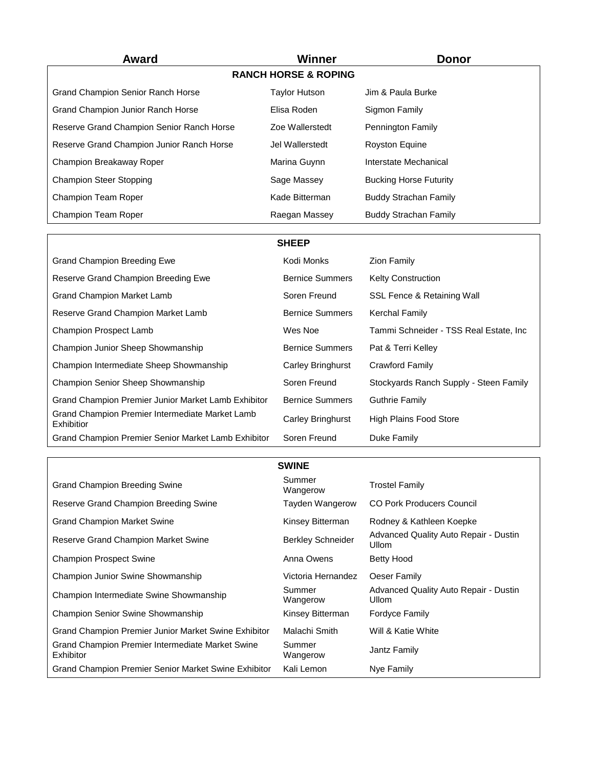| <b>Award</b>                              | Winner                          | <b>Donor</b>                  |
|-------------------------------------------|---------------------------------|-------------------------------|
|                                           | <b>RANCH HORSE &amp; ROPING</b> |                               |
| <b>Grand Champion Senior Ranch Horse</b>  | <b>Taylor Hutson</b>            | Jim & Paula Burke             |
| <b>Grand Champion Junior Ranch Horse</b>  | Elisa Roden                     | Sigmon Family                 |
| Reserve Grand Champion Senior Ranch Horse | Zoe Wallerstedt                 | Pennington Family             |
| Reserve Grand Champion Junior Ranch Horse | Jel Wallerstedt                 | <b>Royston Equine</b>         |
| Champion Breakaway Roper                  | Marina Guynn                    | Interstate Mechanical         |
| <b>Champion Steer Stopping</b>            | Sage Massey                     | <b>Bucking Horse Futurity</b> |
| Champion Team Roper                       | Kade Bitterman                  | <b>Buddy Strachan Family</b>  |
| <b>Champion Team Roper</b>                | Raegan Massey                   | <b>Buddy Strachan Family</b>  |

**SHEEP**

| <b>Grand Champion Breeding Ewe</b>                            | Kodi Monks             | <b>Zion Family</b>                     |
|---------------------------------------------------------------|------------------------|----------------------------------------|
| Reserve Grand Champion Breeding Ewe                           | <b>Bernice Summers</b> | <b>Kelty Construction</b>              |
| Grand Champion Market Lamb                                    | Soren Freund           | SSL Fence & Retaining Wall             |
| Reserve Grand Champion Market Lamb                            | <b>Bernice Summers</b> | <b>Kerchal Family</b>                  |
| <b>Champion Prospect Lamb</b>                                 | Wes Noe                | Tammi Schneider - TSS Real Estate. Inc |
| Champion Junior Sheep Showmanship                             | <b>Bernice Summers</b> | Pat & Terri Kelley                     |
| Champion Intermediate Sheep Showmanship                       | Carley Bringhurst      | Crawford Family                        |
| <b>Champion Senior Sheep Showmanship</b>                      | Soren Freund           | Stockyards Ranch Supply - Steen Family |
| Grand Champion Premier Junior Market Lamb Exhibitor           | <b>Bernice Summers</b> | <b>Guthrie Family</b>                  |
| Grand Champion Premier Intermediate Market Lamb<br>Exhibitior | Carley Bringhurst      | <b>High Plains Food Store</b>          |

Grand Champion Premier Senior Market Lamb Exhibitor Soren Freund Duke Family

|                                                               | <b>SWINE</b>             |                                                              |
|---------------------------------------------------------------|--------------------------|--------------------------------------------------------------|
| <b>Grand Champion Breeding Swine</b>                          | Summer<br>Wangerow       | <b>Trostel Family</b>                                        |
| Reserve Grand Champion Breeding Swine                         | Tayden Wangerow          | <b>CO Pork Producers Council</b>                             |
| <b>Grand Champion Market Swine</b>                            | Kinsey Bitterman         | Rodney & Kathleen Koepke                                     |
| Reserve Grand Champion Market Swine                           | <b>Berkley Schneider</b> | <b>Advanced Quality Auto Repair - Dustin</b><br><b>Ullom</b> |
| <b>Champion Prospect Swine</b>                                | Anna Owens               | Betty Hood                                                   |
| <b>Champion Junior Swine Showmanship</b>                      | Victoria Hernandez       | Oeser Family                                                 |
| Champion Intermediate Swine Showmanship                       | Summer<br>Wangerow       | <b>Advanced Quality Auto Repair - Dustin</b><br>Ullom        |
| <b>Champion Senior Swine Showmanship</b>                      | Kinsey Bitterman         | Fordyce Family                                               |
| Grand Champion Premier Junior Market Swine Exhibitor          | Malachi Smith            | Will & Katie White                                           |
| Grand Champion Premier Intermediate Market Swine<br>Exhibitor | Summer<br>Wangerow       | Jantz Family                                                 |
| Grand Champion Premier Senior Market Swine Exhibitor          | Kali Lemon               | Nye Family                                                   |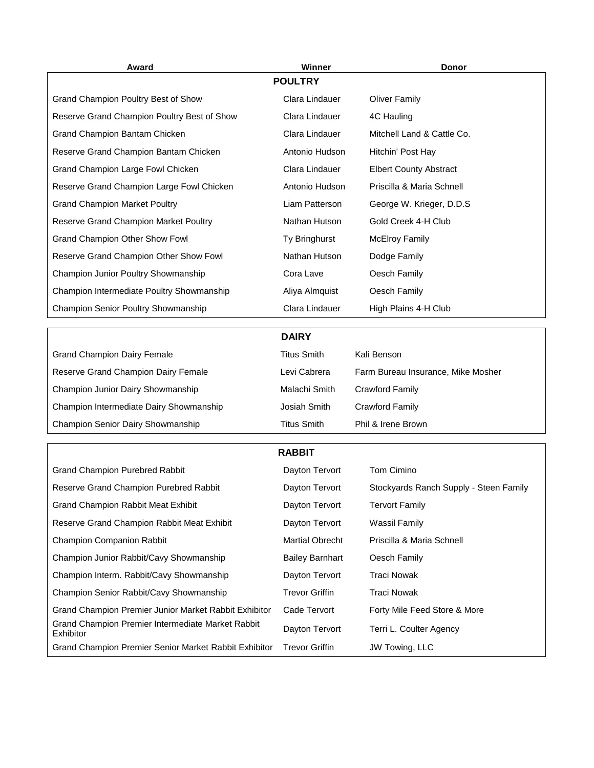| Award                                                          | <b>Winner</b>          | Donor                                  |  |  |
|----------------------------------------------------------------|------------------------|----------------------------------------|--|--|
|                                                                | <b>POULTRY</b>         |                                        |  |  |
| Grand Champion Poultry Best of Show                            | Clara Lindauer         | <b>Oliver Family</b>                   |  |  |
| Reserve Grand Champion Poultry Best of Show                    | Clara Lindauer         | 4C Hauling                             |  |  |
| Grand Champion Bantam Chicken                                  | Clara Lindauer         | Mitchell Land & Cattle Co.             |  |  |
| Reserve Grand Champion Bantam Chicken                          | Antonio Hudson         | Hitchin' Post Hay                      |  |  |
| Grand Champion Large Fowl Chicken                              | Clara Lindauer         | <b>Elbert County Abstract</b>          |  |  |
| Reserve Grand Champion Large Fowl Chicken                      | Antonio Hudson         | Priscilla & Maria Schnell              |  |  |
| <b>Grand Champion Market Poultry</b>                           | Liam Patterson         | George W. Krieger, D.D.S.              |  |  |
| Reserve Grand Champion Market Poultry                          | Nathan Hutson          | Gold Creek 4-H Club                    |  |  |
| Grand Champion Other Show Fowl                                 | Ty Bringhurst          | <b>McElroy Family</b>                  |  |  |
| Reserve Grand Champion Other Show Fowl                         | Nathan Hutson          | Dodge Family                           |  |  |
| Champion Junior Poultry Showmanship                            | Cora Lave              | Oesch Family                           |  |  |
| Champion Intermediate Poultry Showmanship                      | Aliya Almquist         | Oesch Family                           |  |  |
| Champion Senior Poultry Showmanship                            | Clara Lindauer         | High Plains 4-H Club                   |  |  |
|                                                                |                        |                                        |  |  |
|                                                                | <b>DAIRY</b>           |                                        |  |  |
| <b>Grand Champion Dairy Female</b>                             | <b>Titus Smith</b>     | Kali Benson                            |  |  |
| Reserve Grand Champion Dairy Female                            | Levi Cabrera           | Farm Bureau Insurance, Mike Mosher     |  |  |
| Champion Junior Dairy Showmanship                              | Malachi Smith          | <b>Crawford Family</b>                 |  |  |
| Champion Intermediate Dairy Showmanship                        | Josiah Smith           | <b>Crawford Family</b>                 |  |  |
| Champion Senior Dairy Showmanship                              | <b>Titus Smith</b>     | Phil & Irene Brown                     |  |  |
|                                                                | <b>RABBIT</b>          |                                        |  |  |
| <b>Grand Champion Purebred Rabbit</b>                          | Dayton Tervort         | Tom Cimino                             |  |  |
| Reserve Grand Champion Purebred Rabbit                         | Dayton Tervort         | Stockyards Ranch Supply - Steen Family |  |  |
| Grand Champion Rabbit Meat Exhibit                             | Dayton Tervort         | <b>Tervort Family</b>                  |  |  |
| Reserve Grand Champion Rabbit Meat Exhibit                     | Dayton Tervort         | <b>Wassil Family</b>                   |  |  |
| Champion Companion Rabbit                                      | <b>Martial Obrecht</b> | Priscilla & Maria Schnell              |  |  |
| Champion Junior Rabbit/Cavy Showmanship                        | <b>Bailey Barnhart</b> | Oesch Family                           |  |  |
| Champion Interm. Rabbit/Cavy Showmanship                       | Dayton Tervort         | <b>Traci Nowak</b>                     |  |  |
| Champion Senior Rabbit/Cavy Showmanship                        | <b>Trevor Griffin</b>  | <b>Traci Nowak</b>                     |  |  |
| Grand Champion Premier Junior Market Rabbit Exhibitor          | Cade Tervort           | Forty Mile Feed Store & More           |  |  |
| Grand Champion Premier Intermediate Market Rabbit<br>Exhibitor | Dayton Tervort         | Terri L. Coulter Agency                |  |  |
| Grand Champion Premier Senior Market Rabbit Exhibitor          | <b>Trevor Griffin</b>  | JW Towing, LLC                         |  |  |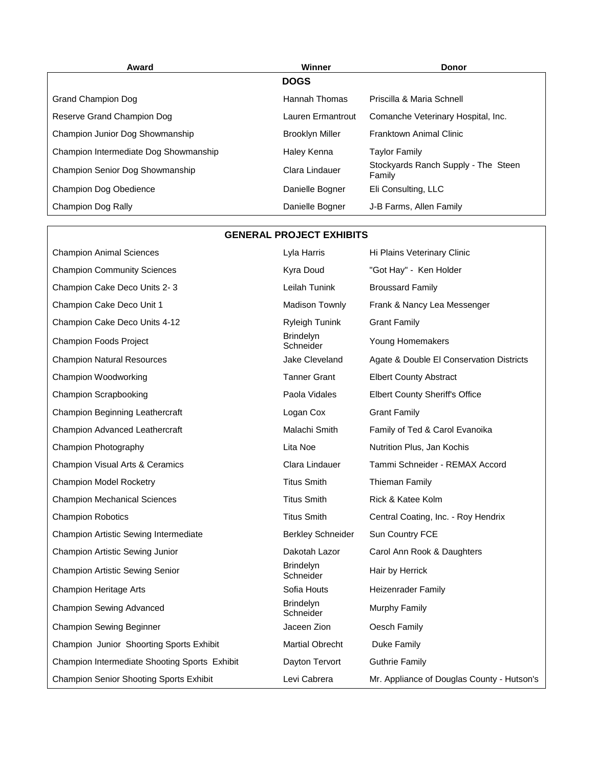| Award                                  | Winner                 | <b>Donor</b>                                  |
|----------------------------------------|------------------------|-----------------------------------------------|
|                                        | <b>DOGS</b>            |                                               |
| Grand Champion Dog                     | Hannah Thomas          | Priscilla & Maria Schnell                     |
| Reserve Grand Champion Dog             | Lauren Ermantrout      | Comanche Veterinary Hospital, Inc.            |
| Champion Junior Dog Showmanship        | <b>Brooklyn Miller</b> | Franktown Animal Clinic                       |
| Champion Intermediate Dog Showmanship  | Haley Kenna            | <b>Taylor Family</b>                          |
| <b>Champion Senior Dog Showmanship</b> | Clara Lindauer         | Stockyards Ranch Supply - The Steen<br>Family |
| <b>Champion Dog Obedience</b>          | Danielle Bogner        | Eli Consulting, LLC                           |
| Champion Dog Rally                     | Danielle Bogner        | J-B Farms, Allen Family                       |

| <b>GENERAL PROJECT EXHIBITS</b> |  |  |
|---------------------------------|--|--|
|---------------------------------|--|--|

| <b>Champion Animal Sciences</b>                | Lyla Harris                   | Hi Plains Veterinary Clinic                |
|------------------------------------------------|-------------------------------|--------------------------------------------|
| <b>Champion Community Sciences</b>             | Kyra Doud                     | "Got Hay" - Ken Holder                     |
| Champion Cake Deco Units 2-3                   | Leilah Tunink                 | <b>Broussard Family</b>                    |
| Champion Cake Deco Unit 1                      | Madison Townly                | Frank & Nancy Lea Messenger                |
| Champion Cake Deco Units 4-12                  | <b>Ryleigh Tunink</b>         | <b>Grant Family</b>                        |
| Champion Foods Project                         | <b>Brindelyn</b><br>Schneider | Young Homemakers                           |
| <b>Champion Natural Resources</b>              | Jake Cleveland                | Agate & Double El Conservation Districts   |
| Champion Woodworking                           | <b>Tanner Grant</b>           | <b>Elbert County Abstract</b>              |
| Champion Scrapbooking                          | Paola Vidales                 | <b>Elbert County Sheriff's Office</b>      |
| Champion Beginning Leathercraft                | Logan Cox                     | <b>Grant Family</b>                        |
| Champion Advanced Leathercraft                 | Malachi Smith                 | Family of Ted & Carol Evanoika             |
| Champion Photography                           | Lita Noe                      | Nutrition Plus, Jan Kochis                 |
| Champion Visual Arts & Ceramics                | Clara Lindauer                | Tammi Schneider - REMAX Accord             |
| <b>Champion Model Rocketry</b>                 | <b>Titus Smith</b>            | Thieman Family                             |
| <b>Champion Mechanical Sciences</b>            | <b>Titus Smith</b>            | Rick & Katee Kolm                          |
| <b>Champion Robotics</b>                       | <b>Titus Smith</b>            | Central Coating, Inc. - Roy Hendrix        |
| Champion Artistic Sewing Intermediate          | <b>Berkley Schneider</b>      | Sun Country FCE                            |
| Champion Artistic Sewing Junior                | Dakotah Lazor                 | Carol Ann Rook & Daughters                 |
| <b>Champion Artistic Sewing Senior</b>         | <b>Brindelyn</b><br>Schneider | Hair by Herrick                            |
| <b>Champion Heritage Arts</b>                  | Sofia Houts                   | Heizenrader Family                         |
| <b>Champion Sewing Advanced</b>                | <b>Brindelyn</b><br>Schneider | Murphy Family                              |
| <b>Champion Sewing Beginner</b>                | Jaceen Zion                   | Oesch Family                               |
| Champion Junior Shoorting Sports Exhibit       | <b>Martial Obrecht</b>        | Duke Family                                |
| Champion Intermediate Shooting Sports Exhibit  | Dayton Tervort                | <b>Guthrie Family</b>                      |
| <b>Champion Senior Shooting Sports Exhibit</b> | Levi Cabrera                  | Mr. Appliance of Douglas County - Hutson's |